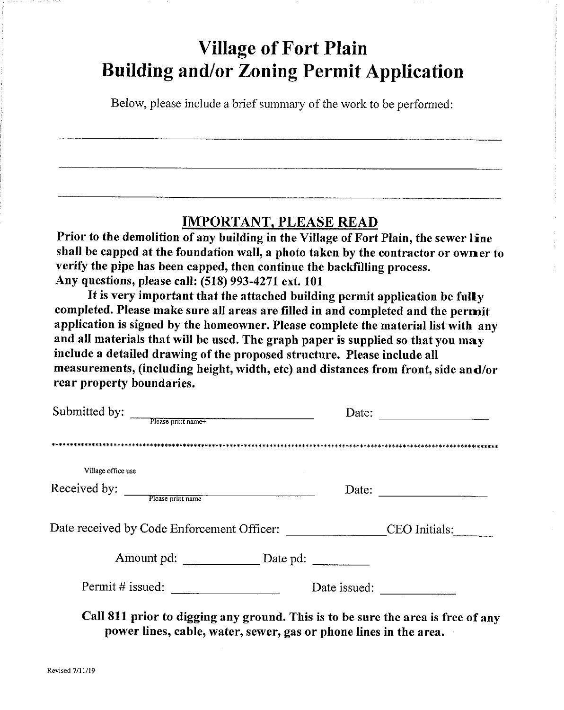# **Village of Fort Plain Building and/or Zoning Permit Application**

Below, please include a brief summary of the work to be performed:

# **IMPORTANT, PLEASE READ**

Prior to the demolition of any building in the Village of Fort Plain, the sewer line shall be capped at the foundation wall, a photo taken by the contractor or owner to verify the pipe has been capped, then continue the backfilling process. Any questions, please call: (518) 993-4271 ext. 101

It is very important that the attached building permit application be fully completed. Please make sure all areas are filled in and completed and the permit application is signed by the homeowner. Please complete the material list with any and all materials that will be used. The graph paper is supplied so that you may include a detailed drawing of the proposed structure. Please include all measurements, (including height, width, etc) and distances from front, side and/or rear property boundaries.

| Submitted by: Please print name+                                                 | Date: |
|----------------------------------------------------------------------------------|-------|
|                                                                                  |       |
| Village office use                                                               |       |
| Received by: Please print name                                                   |       |
| Date received by Code Enforcement Officer: _______________CEO Initials:          |       |
|                                                                                  |       |
| Permit # issued:                                                                 |       |
| Call 811 prior to digging any ground. This is to be sure the area is free of any |       |

power lines, cable, water, sewer, gas or phone lines in the area.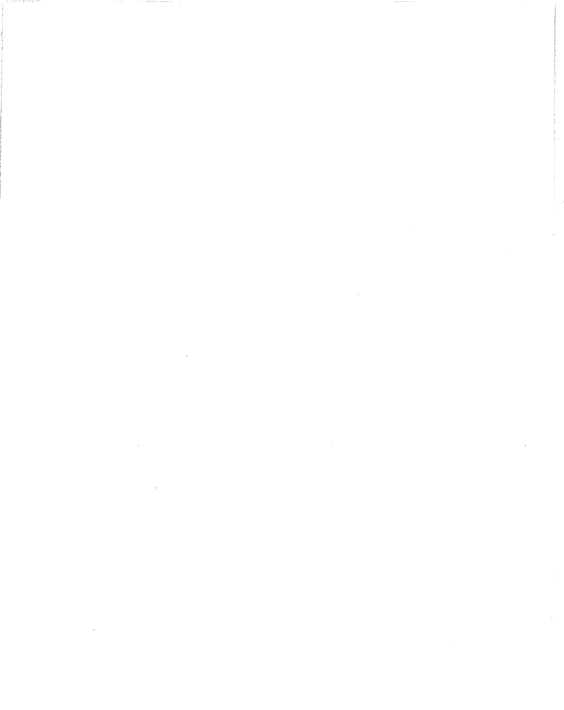$\label{eq:2.1} \frac{1}{\sqrt{2}}\int_{\mathbb{R}^3}\frac{1}{\sqrt{2}}\left(\frac{1}{\sqrt{2}}\right)^2\frac{1}{\sqrt{2}}\left(\frac{1}{\sqrt{2}}\right)^2\frac{1}{\sqrt{2}}\left(\frac{1}{\sqrt{2}}\right)^2\frac{1}{\sqrt{2}}\left(\frac{1}{\sqrt{2}}\right)^2.$ 

 $\label{eq:2.1} \frac{1}{\sqrt{2}}\int_{\mathbb{R}^3}\frac{1}{\sqrt{2}}\left(\frac{1}{\sqrt{2}}\right)^2\frac{1}{\sqrt{2}}\left(\frac{1}{\sqrt{2}}\right)^2\frac{1}{\sqrt{2}}\left(\frac{1}{\sqrt{2}}\right)^2\frac{1}{\sqrt{2}}\left(\frac{1}{\sqrt{2}}\right)^2\frac{1}{\sqrt{2}}\left(\frac{1}{\sqrt{2}}\right)^2\frac{1}{\sqrt{2}}\frac{1}{\sqrt{2}}\frac{1}{\sqrt{2}}\frac{1}{\sqrt{2}}\frac{1}{\sqrt{2}}\frac{1}{\sqrt{2}}$ 

 $\frac{1}{2} \frac{1}{2} \frac{1}{2}$ 

 $\frac{1}{2}$ 

a de la construcción de la construcción de la construcción de la construcción de la construcción de la constru<br>En 1980, el construcción de la construcción de la construcción de la construcción de la construcción de la con  $\label{eq:2.1} \mathcal{L}(\mathcal{L}^{\mathcal{L}}_{\mathcal{L}}(\mathcal{L}^{\mathcal{L}}_{\mathcal{L}})) = \mathcal{L}(\mathcal{L}^{\mathcal{L}}_{\mathcal{L}}(\mathcal{L}^{\mathcal{L}}_{\mathcal{L}})) = \mathcal{L}(\mathcal{L}^{\mathcal{L}}_{\mathcal{L}}(\mathcal{L}^{\mathcal{L}}_{\mathcal{L}}))$ 

 $\mathcal{L}^{\mathcal{L}}(\mathcal{L}^{\mathcal{L}})$  and  $\mathcal{L}^{\mathcal{L}}(\mathcal{L}^{\mathcal{L}})$  and  $\mathcal{L}^{\mathcal{L}}(\mathcal{L}^{\mathcal{L}})$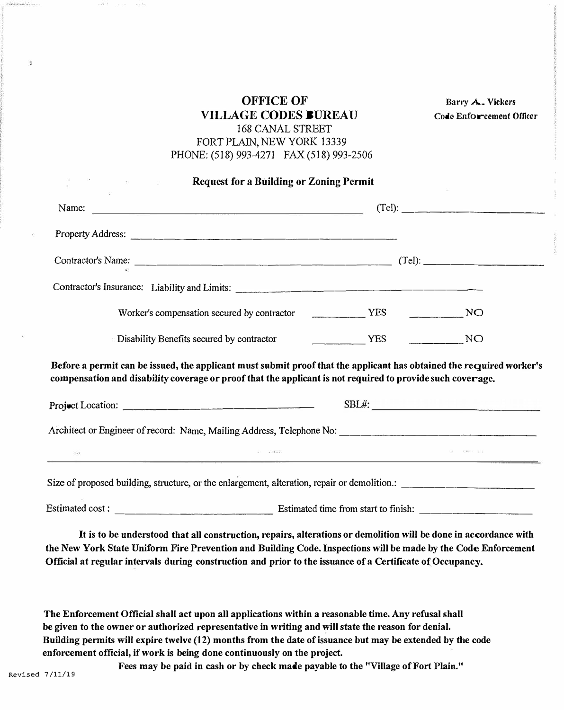# **OFFICE OF** Barry **A.** Vickers VILLAGE CODES BUREAU 168 CANAL STREET

**Code Enforcement Officer** 

# FORT PLAIN, NEW YORK 13339 PHONE: (518) 993-4271 FAX (518) 993-2506

#### **Request for a Building or Zoning Permit**

| Name: $\frac{1}{2}$                                                                                                                                                                                                                                                                                                                                                                                                                                                                                                                  |                                                                         |
|--------------------------------------------------------------------------------------------------------------------------------------------------------------------------------------------------------------------------------------------------------------------------------------------------------------------------------------------------------------------------------------------------------------------------------------------------------------------------------------------------------------------------------------|-------------------------------------------------------------------------|
|                                                                                                                                                                                                                                                                                                                                                                                                                                                                                                                                      |                                                                         |
|                                                                                                                                                                                                                                                                                                                                                                                                                                                                                                                                      |                                                                         |
| Contractor's Insurance: Liability and Limits:                                                                                                                                                                                                                                                                                                                                                                                                                                                                                        |                                                                         |
| Worker's compensation secured by contractor VES YES NO                                                                                                                                                                                                                                                                                                                                                                                                                                                                               |                                                                         |
| Disability Benefits secured by contractor TES NO                                                                                                                                                                                                                                                                                                                                                                                                                                                                                     |                                                                         |
| Before a permit can be issued, the applicant must submit proof that the applicant has obtained the required worker's<br>compensation and disability coverage or proof that the applicant is not required to provide such coverage.                                                                                                                                                                                                                                                                                                   |                                                                         |
| Project Location:                                                                                                                                                                                                                                                                                                                                                                                                                                                                                                                    | SBL#:                                                                   |
|                                                                                                                                                                                                                                                                                                                                                                                                                                                                                                                                      |                                                                         |
| $\frac{1}{2} \left( \frac{1}{2} \right) \left( \frac{1}{2} \right) \left( \frac{1}{2} \right) \left( \frac{1}{2} \right) \left( \frac{1}{2} \right) \left( \frac{1}{2} \right) \left( \frac{1}{2} \right) \left( \frac{1}{2} \right) \left( \frac{1}{2} \right) \left( \frac{1}{2} \right) \left( \frac{1}{2} \right) \left( \frac{1}{2} \right) \left( \frac{1}{2} \right) \left( \frac{1}{2} \right) \left( \frac{1}{2} \right) \left( \frac{1}{2} \right) \left( \frac$<br><u> 1989 - Santa Carlos de Antonio Maria (m. 1989)</u> | The Contract of Contract of the<br><u> 1980 - Jan Barbara (j. 1980)</u> |
|                                                                                                                                                                                                                                                                                                                                                                                                                                                                                                                                      |                                                                         |
|                                                                                                                                                                                                                                                                                                                                                                                                                                                                                                                                      |                                                                         |

**It is to be understood that all construction, repairs, alterations or demolition will be done in accordance with the New York State Uniform Fire Prevention and Building Code. Inspections will be made by the Code Enforcement Official at regular intervals during construction and prior to the issuance of a Certificate of Occupancy.** 

**The Enforcement Official shall act upon all applications within a reasonable time. Any refusal shall be given to the owner or authorized representative in writing and will state the reason for denial. Building permits will expire twelve (12) months from the date of issuance but may be extended by the code enforcement official, if work is being done continuously on the project.** 

**Fees may be paid in cash or by check made payable to the "Village of Fort Plain."** 

 $\overline{1}$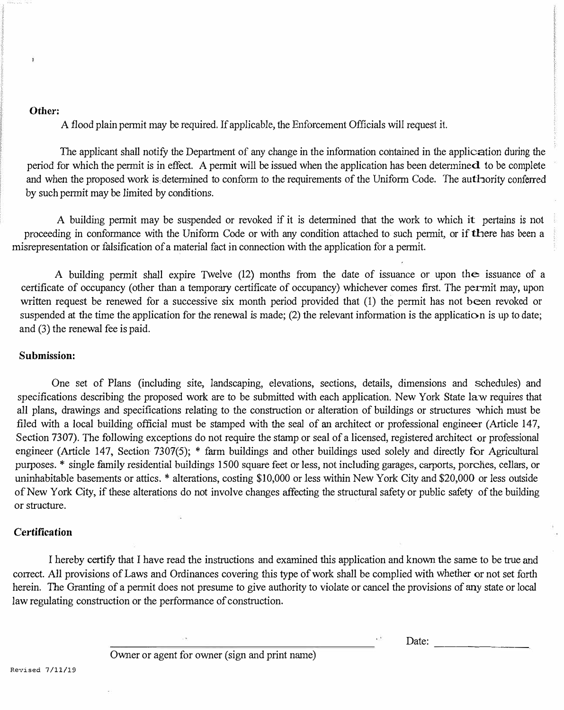#### **Otlicr:**

ï

A flood plain permit may be required. If applicable, the Enforcement Officials will request it.

The applicant shall notify the Department of any change in the information cohtained in the application during the period for which the permit is in effect. A permit will be issued when the application has been determined to be complete and when the proposed work is determined to conform to the requirements of the Uniform Code. The authority conferred by such permit may be limited by conditions.

A building permit may be suspended or revoked if it is determined that the work to which it pertains is not proceeding in conformance with the Uniform Code or with any condition attached to such permit, or if there has been a misrepresentation or falsification of a material fact in connection with the application for a permit.

A building permit shall expire Twelve (12) months from the date of issuance or upon the issuance of a certificate of occupancy (other than a temporary certificate of occupancy) whichever comes first. The permit may, upon written request be renewed for a successive six month period provided that (1) the permit has not been revoked or suspended at the time the application for the renewal is made;  $(2)$  the relevant information is the application is up to date; and (3) the renewal fee is paid.

#### **Submission:**

One set of Plans (including site, landscaping, elevations, sections, details, dimensions and schedules) and specifications describing the proposed work are to be submitted with each application. New York State law requires that all plans, drawings and specifications relating to the construction or alteration of buildings or structures which must be filed with a local building official must be stamped with the seal of an architect or professional engineer (Article 147, Section 7307). The following exceptions do not require the stamp or seal of a licensed, registered architect or professional engineer (Article 147, Section 7307(5); \* farm buildings and other buildings used solely and directly for Agricultural purposes. \* single family residential buildings 1500 square feet or less, not including garages, carports, porches, cellars, or uninhabitable basements or attics. \* alterations, costing \$10,000 or less within New York City and \$20,000 or less outside of New York City, if these alterations do not involve changes affecting the structural safety or public safety of the building or structure.

#### **Certification**

I hereby certify that I have read the instructions and examined this application and known the same to be true and correct. All provisions of Laws and Ordinances covering this type of work shall be complied with whether or not set forth herein. The Granting of a permit does not presume to give authority to violate or cancel the provisions of any state or local law regulating construction or the performance of construction.

Date:<br>Owner or agent for owner (sign and print name)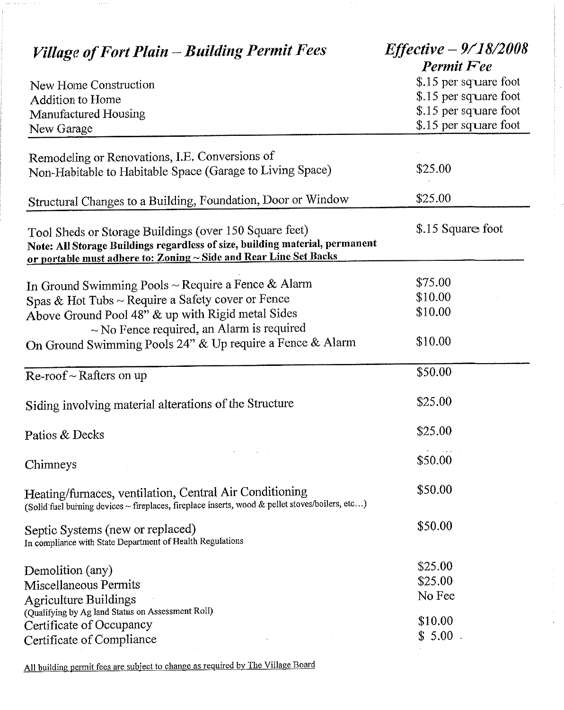| Village of Fort Plain - Building Permit Fees                                                                                                                                                                | $Effective - 9/18/2008$<br><b>Permit Fee</b> |
|-------------------------------------------------------------------------------------------------------------------------------------------------------------------------------------------------------------|----------------------------------------------|
| New Home Construction                                                                                                                                                                                       | \$.15 per square foot                        |
| <b>Addition to Home</b>                                                                                                                                                                                     | \$.15 per square foot                        |
| <b>Manufactured Housing</b>                                                                                                                                                                                 | \$.15 per square foot                        |
| New Garage                                                                                                                                                                                                  | \$.15 per square foot                        |
| Remodeling or Renovations, I.E. Conversions of                                                                                                                                                              |                                              |
| Non-Habitable to Habitable Space (Garage to Living Space)                                                                                                                                                   | \$25.00                                      |
| Structural Changes to a Building, Foundation, Door or Window                                                                                                                                                | \$25.00                                      |
| Tool Sheds or Storage Buildings (over 150 Square feet)<br>Note: All Storage Buildings regardless of size, building material, permanent<br>or portable must adhere to: Zoning ~ Side and Rear Line Set Backs | \$.15 Square foot                            |
| In Ground Swimming Pools $\sim$ Require a Fence & Alarm                                                                                                                                                     | \$75.00                                      |
| Spas & Hot Tubs $\sim$ Require a Safety cover or Fence                                                                                                                                                      | \$10.00                                      |
| Above Ground Pool 48" & up with Rigid metal Sides                                                                                                                                                           | \$10.00                                      |
| $\sim$ No Fence required, an Alarm is required                                                                                                                                                              |                                              |
| On Ground Swimming Pools 24" & Up require a Fence & Alarm                                                                                                                                                   | \$10.00                                      |
| Re-roof ~ Rafters on up                                                                                                                                                                                     | \$50.00                                      |
| Siding involving material alterations of the Structure                                                                                                                                                      | \$25.00                                      |
| Patios & Decks                                                                                                                                                                                              | \$25.00                                      |
| Chimneys                                                                                                                                                                                                    | \$50.00                                      |
| Heating/furnaces, ventilation, Central Air Conditioning<br>(Solid fuel burning devices ~ fireplaces, fireplace inserts, wood & pellet stoves/boilers, etc)                                                  | \$50.00                                      |
| Septic Systems (new or replaced)<br>In compliance with State Department of Health Regulations                                                                                                               | \$50.00                                      |
| Demolition (any)                                                                                                                                                                                            | \$25.00                                      |
| Miscellaneous Permits                                                                                                                                                                                       | \$25.00                                      |
| <b>Agriculture Buildings</b>                                                                                                                                                                                | No Fee                                       |
| (Qualifying by Ag land Status on Assessment Roll)                                                                                                                                                           |                                              |
| Certificate of Occupancy                                                                                                                                                                                    | \$10.00                                      |
| Certificate of Compliance                                                                                                                                                                                   | \$5.00.                                      |

J.

 $\hat{\mathcal{A}}$ 

 $\frac{1}{4}$ 

All building permit fees are subject to change as required by The Village Board

and the contract of  $\mathcal{H}(\mathcal{F})$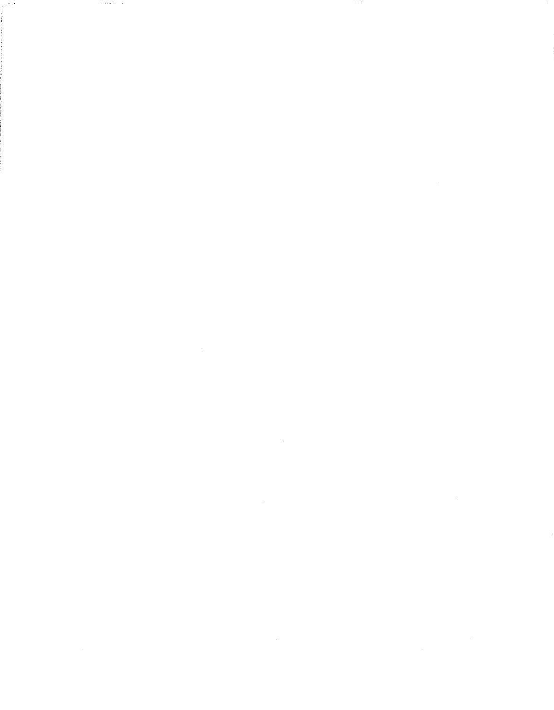$\label{eq:2.1} \frac{1}{\sqrt{2}}\int_{\mathbb{R}^3}\frac{1}{\sqrt{2}}\left(\frac{1}{\sqrt{2}}\right)^2\frac{1}{\sqrt{2}}\left(\frac{1}{\sqrt{2}}\right)^2\frac{1}{\sqrt{2}}\left(\frac{1}{\sqrt{2}}\right)^2\frac{1}{\sqrt{2}}\left(\frac{1}{\sqrt{2}}\right)^2.$ 

 $\label{eq:2.1} \frac{1}{\sqrt{2}}\left(\frac{1}{\sqrt{2}}\right)^{2} \left(\frac{1}{\sqrt{2}}\right)^{2} \left(\frac{1}{\sqrt{2}}\right)^{2} \left(\frac{1}{\sqrt{2}}\right)^{2} \left(\frac{1}{\sqrt{2}}\right)^{2} \left(\frac{1}{\sqrt{2}}\right)^{2} \left(\frac{1}{\sqrt{2}}\right)^{2} \left(\frac{1}{\sqrt{2}}\right)^{2} \left(\frac{1}{\sqrt{2}}\right)^{2} \left(\frac{1}{\sqrt{2}}\right)^{2} \left(\frac{1}{\sqrt{2}}\right)^{2} \left(\$ 

 $\label{eq:2.1} \frac{1}{\sqrt{2}}\int_{\mathbb{R}^3}\frac{1}{\sqrt{2}}\left(\frac{1}{\sqrt{2}}\right)^2\frac{1}{\sqrt{2}}\left(\frac{1}{\sqrt{2}}\right)^2\frac{1}{\sqrt{2}}\left(\frac{1}{\sqrt{2}}\right)^2\frac{1}{\sqrt{2}}\left(\frac{1}{\sqrt{2}}\right)^2.$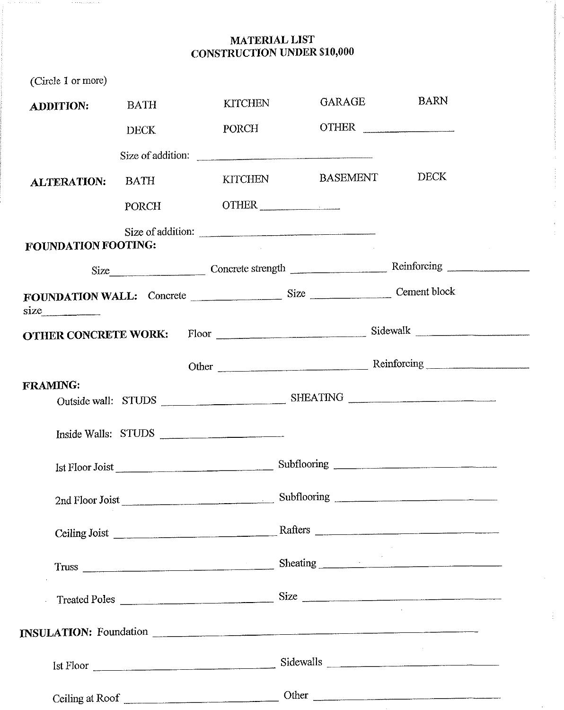# MATERIAL LIST<br>CONSTRUCTION UNDER \$10,000

 $\epsilon$  , and a second top

 $\beta \rightarrow \gamma$  , where  $\alpha$  is a set of the set of  $\alpha$ 

| (Circle 1 or more)         |                         |                |                                                                                                              |                               |
|----------------------------|-------------------------|----------------|--------------------------------------------------------------------------------------------------------------|-------------------------------|
| <b>ADDITION:</b> BATH      |                         | <b>KITCHEN</b> | GARAGE                                                                                                       | <b>BARN</b>                   |
|                            | <b>DECK</b>             |                | PORCH OTHER                                                                                                  |                               |
|                            | Size of addition:       |                |                                                                                                              |                               |
|                            | <b>ALTERATION: BATH</b> |                | $\begin{tabular}{llll} \bf{KITCHEN} & \hspace{1.5cm} \bf{BASEMENT} & \hspace{1.5cm} \bf{DECK} \end{tabular}$ |                               |
|                            | PORCH OTHER             |                |                                                                                                              |                               |
| <b>FOUNDATION FOOTING:</b> |                         |                | Size of addition:                                                                                            |                               |
|                            |                         |                |                                                                                                              |                               |
| size                       |                         |                |                                                                                                              |                               |
|                            |                         |                |                                                                                                              |                               |
|                            |                         |                |                                                                                                              | Other Reinforcing Reinforcing |
| <b>FRAMING:</b>            |                         |                |                                                                                                              |                               |
|                            | Inside Walls: STUDS     |                |                                                                                                              |                               |
|                            |                         |                |                                                                                                              | lst Floor Joist               |
|                            |                         |                |                                                                                                              | 2nd Floor Joist               |
|                            |                         |                |                                                                                                              |                               |
|                            |                         |                |                                                                                                              |                               |
|                            |                         |                |                                                                                                              | Treated Poles                 |
|                            |                         |                |                                                                                                              |                               |
|                            |                         |                |                                                                                                              | Ist Floor                     |
|                            |                         |                |                                                                                                              | Ceiling at Roof               |

 $\bar{t}$  $\hat{\boldsymbol{\beta}}$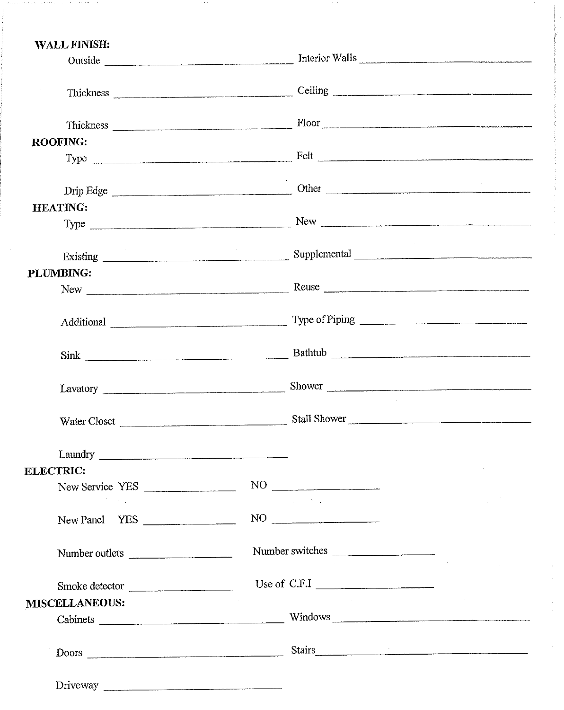| <b>WALL FINISH:</b> |                                                                                                                                                                                                                                                                                                                                                                                                                                                                                                                                                                                                                                                                                                                                                                                                                                                         |
|---------------------|---------------------------------------------------------------------------------------------------------------------------------------------------------------------------------------------------------------------------------------------------------------------------------------------------------------------------------------------------------------------------------------------------------------------------------------------------------------------------------------------------------------------------------------------------------------------------------------------------------------------------------------------------------------------------------------------------------------------------------------------------------------------------------------------------------------------------------------------------------|
|                     | Outside                                                                                                                                                                                                                                                                                                                                                                                                                                                                                                                                                                                                                                                                                                                                                                                                                                                 |
| $\sim$              |                                                                                                                                                                                                                                                                                                                                                                                                                                                                                                                                                                                                                                                                                                                                                                                                                                                         |
|                     |                                                                                                                                                                                                                                                                                                                                                                                                                                                                                                                                                                                                                                                                                                                                                                                                                                                         |
| <b>ROOFING:</b>     |                                                                                                                                                                                                                                                                                                                                                                                                                                                                                                                                                                                                                                                                                                                                                                                                                                                         |
|                     |                                                                                                                                                                                                                                                                                                                                                                                                                                                                                                                                                                                                                                                                                                                                                                                                                                                         |
|                     | Drip Edge                                                                                                                                                                                                                                                                                                                                                                                                                                                                                                                                                                                                                                                                                                                                                                                                                                               |
| <b>HEATING:</b>     |                                                                                                                                                                                                                                                                                                                                                                                                                                                                                                                                                                                                                                                                                                                                                                                                                                                         |
|                     |                                                                                                                                                                                                                                                                                                                                                                                                                                                                                                                                                                                                                                                                                                                                                                                                                                                         |
|                     |                                                                                                                                                                                                                                                                                                                                                                                                                                                                                                                                                                                                                                                                                                                                                                                                                                                         |
| PLUMBING:           |                                                                                                                                                                                                                                                                                                                                                                                                                                                                                                                                                                                                                                                                                                                                                                                                                                                         |
|                     |                                                                                                                                                                                                                                                                                                                                                                                                                                                                                                                                                                                                                                                                                                                                                                                                                                                         |
|                     |                                                                                                                                                                                                                                                                                                                                                                                                                                                                                                                                                                                                                                                                                                                                                                                                                                                         |
|                     |                                                                                                                                                                                                                                                                                                                                                                                                                                                                                                                                                                                                                                                                                                                                                                                                                                                         |
|                     |                                                                                                                                                                                                                                                                                                                                                                                                                                                                                                                                                                                                                                                                                                                                                                                                                                                         |
|                     | Water Closet                                                                                                                                                                                                                                                                                                                                                                                                                                                                                                                                                                                                                                                                                                                                                                                                                                            |
|                     |                                                                                                                                                                                                                                                                                                                                                                                                                                                                                                                                                                                                                                                                                                                                                                                                                                                         |
| <b>ELECTRIC:</b>    |                                                                                                                                                                                                                                                                                                                                                                                                                                                                                                                                                                                                                                                                                                                                                                                                                                                         |
| New Service YES     | $\begin{picture}(150,10) \put(0,0){\dashbox{0.5}(10,0){ }} \put(15,0){\circle{10}} \put(15,0){\circle{10}} \put(15,0){\circle{10}} \put(15,0){\circle{10}} \put(15,0){\circle{10}} \put(15,0){\circle{10}} \put(15,0){\circle{10}} \put(15,0){\circle{10}} \put(15,0){\circle{10}} \put(15,0){\circle{10}} \put(15,0){\circle{10}} \put(15,0){\circle{10}} \put(15,0){\circle{10}} \put(15$                                                                                                                                                                                                                                                                                                                                                                                                                                                             |
| New Panel YES       | $\label{eq:2.1} \mathcal{L}(\mathcal{L}^{\mathcal{L}}(\mathcal{L}^{\mathcal{L}}(\mathcal{L}^{\mathcal{L}}(\mathcal{L}^{\mathcal{L}}(\mathcal{L}^{\mathcal{L}}(\mathcal{L}^{\mathcal{L}}(\mathcal{L}^{\mathcal{L}}(\mathcal{L}^{\mathcal{L}}(\mathcal{L}^{\mathcal{L}}(\mathcal{L}^{\mathcal{L}}(\mathcal{L}^{\mathcal{L}}(\mathcal{L}^{\mathcal{L}}(\mathcal{L}^{\mathcal{L}}(\mathcal{L}^{\mathcal{L}}(\mathcal{L}^{\mathcal{L}}(\mathcal{L}^{\mathcal$<br>$\begin{picture}(150,10) \put(0,0){\dashbox{0.5}(10,0){ }} \put(15,0){\circle{10}} \put(15,0){\circle{10}} \put(15,0){\circle{10}} \put(15,0){\circle{10}} \put(15,0){\circle{10}} \put(15,0){\circle{10}} \put(15,0){\circle{10}} \put(15,0){\circle{10}} \put(15,0){\circle{10}} \put(15,0){\circle{10}} \put(15,0){\circle{10}} \put(15,0){\circle{10}} \put(15,0){\circle{10}} \put(15$ |
|                     |                                                                                                                                                                                                                                                                                                                                                                                                                                                                                                                                                                                                                                                                                                                                                                                                                                                         |
|                     | Number switches                                                                                                                                                                                                                                                                                                                                                                                                                                                                                                                                                                                                                                                                                                                                                                                                                                         |
|                     | Smoke detector Use of C.F.I                                                                                                                                                                                                                                                                                                                                                                                                                                                                                                                                                                                                                                                                                                                                                                                                                             |
| MISCELLANEOUS:      |                                                                                                                                                                                                                                                                                                                                                                                                                                                                                                                                                                                                                                                                                                                                                                                                                                                         |
|                     |                                                                                                                                                                                                                                                                                                                                                                                                                                                                                                                                                                                                                                                                                                                                                                                                                                                         |
| Doors               | Stairs                                                                                                                                                                                                                                                                                                                                                                                                                                                                                                                                                                                                                                                                                                                                                                                                                                                  |
|                     |                                                                                                                                                                                                                                                                                                                                                                                                                                                                                                                                                                                                                                                                                                                                                                                                                                                         |

÷.  $\frac{1}{2}$ 

 $\mathcal{A}^{\mathcal{A}}$ 

 $\sim$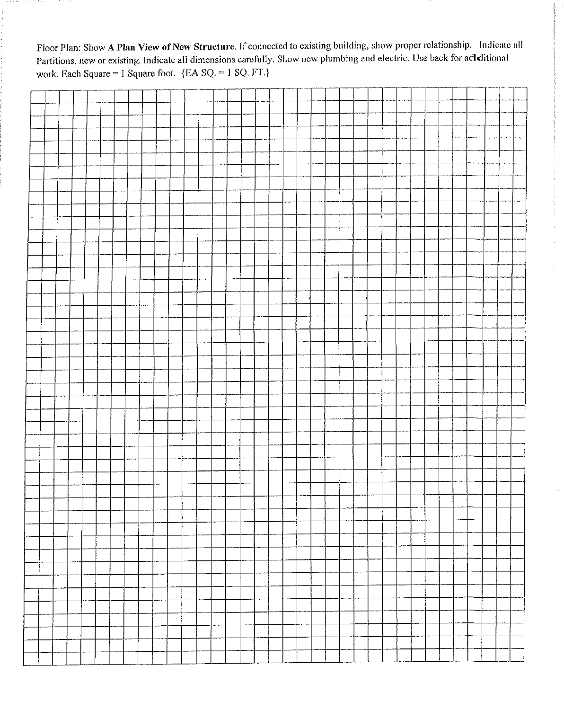Floor Plan: Show A Plan View of New Structure. If connected to existing building, show proper relationship. Indicate all Partitions, new or existing. Indicate all dimensions carefully. Show new plumbing and electric. Use back for additional work. Each Square = 1 Square foot. {EA SQ. = 1 SQ. FT.}

|          |  | $\sim$ |  |              |  |  |  |  |  |  |  |  |  |  |  |  |  |
|----------|--|--------|--|--------------|--|--|--|--|--|--|--|--|--|--|--|--|--|
|          |  |        |  |              |  |  |  |  |  |  |  |  |  |  |  |  |  |
|          |  |        |  |              |  |  |  |  |  |  |  |  |  |  |  |  |  |
|          |  |        |  |              |  |  |  |  |  |  |  |  |  |  |  |  |  |
|          |  |        |  |              |  |  |  |  |  |  |  |  |  |  |  |  |  |
|          |  |        |  |              |  |  |  |  |  |  |  |  |  |  |  |  |  |
|          |  |        |  |              |  |  |  |  |  |  |  |  |  |  |  |  |  |
|          |  |        |  |              |  |  |  |  |  |  |  |  |  |  |  |  |  |
|          |  |        |  |              |  |  |  |  |  |  |  |  |  |  |  |  |  |
|          |  |        |  |              |  |  |  |  |  |  |  |  |  |  |  |  |  |
|          |  |        |  |              |  |  |  |  |  |  |  |  |  |  |  |  |  |
|          |  |        |  |              |  |  |  |  |  |  |  |  |  |  |  |  |  |
|          |  |        |  |              |  |  |  |  |  |  |  |  |  |  |  |  |  |
|          |  |        |  |              |  |  |  |  |  |  |  |  |  |  |  |  |  |
|          |  |        |  |              |  |  |  |  |  |  |  |  |  |  |  |  |  |
|          |  |        |  |              |  |  |  |  |  |  |  |  |  |  |  |  |  |
|          |  |        |  |              |  |  |  |  |  |  |  |  |  |  |  |  |  |
|          |  |        |  |              |  |  |  |  |  |  |  |  |  |  |  |  |  |
|          |  |        |  |              |  |  |  |  |  |  |  |  |  |  |  |  |  |
|          |  |        |  |              |  |  |  |  |  |  |  |  |  |  |  |  |  |
|          |  |        |  |              |  |  |  |  |  |  |  |  |  |  |  |  |  |
|          |  |        |  |              |  |  |  |  |  |  |  |  |  |  |  |  |  |
|          |  |        |  |              |  |  |  |  |  |  |  |  |  |  |  |  |  |
|          |  |        |  |              |  |  |  |  |  |  |  |  |  |  |  |  |  |
|          |  |        |  |              |  |  |  |  |  |  |  |  |  |  |  |  |  |
|          |  |        |  |              |  |  |  |  |  |  |  |  |  |  |  |  |  |
|          |  |        |  |              |  |  |  |  |  |  |  |  |  |  |  |  |  |
|          |  |        |  |              |  |  |  |  |  |  |  |  |  |  |  |  |  |
|          |  |        |  |              |  |  |  |  |  |  |  |  |  |  |  |  |  |
|          |  |        |  |              |  |  |  |  |  |  |  |  |  |  |  |  |  |
| -------- |  |        |  |              |  |  |  |  |  |  |  |  |  |  |  |  |  |
|          |  |        |  |              |  |  |  |  |  |  |  |  |  |  |  |  |  |
| ÷        |  |        |  |              |  |  |  |  |  |  |  |  |  |  |  |  |  |
|          |  |        |  |              |  |  |  |  |  |  |  |  |  |  |  |  |  |
|          |  |        |  |              |  |  |  |  |  |  |  |  |  |  |  |  |  |
|          |  |        |  |              |  |  |  |  |  |  |  |  |  |  |  |  |  |
| ÷        |  |        |  |              |  |  |  |  |  |  |  |  |  |  |  |  |  |
|          |  |        |  |              |  |  |  |  |  |  |  |  |  |  |  |  |  |
|          |  |        |  |              |  |  |  |  |  |  |  |  |  |  |  |  |  |
|          |  |        |  | $\mathbf{I}$ |  |  |  |  |  |  |  |  |  |  |  |  |  |
|          |  |        |  |              |  |  |  |  |  |  |  |  |  |  |  |  |  |

÷,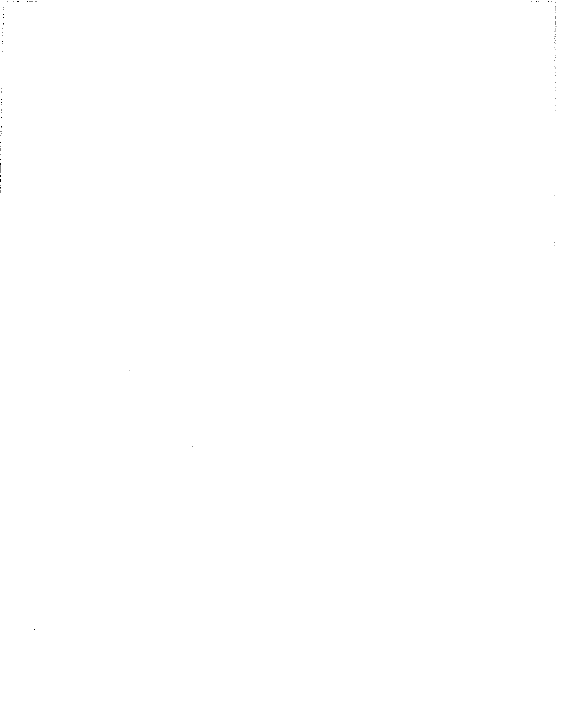

 $\label{eq:2.1} \begin{split} \mathcal{L}_{\text{max}}(\mathbf{r}) & = \frac{1}{2} \sum_{i=1}^{N} \mathcal{L}_{\text{max}}(\mathbf{r}) \mathcal{L}_{\text{max}}(\mathbf{r}) \\ & = \frac{1}{2} \sum_{i=1}^{N} \mathcal{L}_{\text{max}}(\mathbf{r}) \mathcal{L}_{\text{max}}(\mathbf{r}) \mathcal{L}_{\text{max}}(\mathbf{r}) \mathcal{L}_{\text{max}}(\mathbf{r}) \mathcal{L}_{\text{max}}(\mathbf{r}) \mathcal{L}_{\text{max}}(\mathbf{r}) \mathcal{L}_{\text{max}}(\mathbf$ 

 $\frac{1}{2}$ 

 $\label{eq:2.1} \frac{1}{\sqrt{2\pi}}\sum_{i=1}^N\frac{1}{\sqrt{2\pi}}\sum_{i=1}^N\frac{1}{\sqrt{2\pi}}\sum_{i=1}^N\frac{1}{\sqrt{2\pi}}\sum_{i=1}^N\frac{1}{\sqrt{2\pi}}\sum_{i=1}^N\frac{1}{\sqrt{2\pi}}\sum_{i=1}^N\frac{1}{\sqrt{2\pi}}\sum_{i=1}^N\frac{1}{\sqrt{2\pi}}\sum_{i=1}^N\frac{1}{\sqrt{2\pi}}\sum_{i=1}^N\frac{1}{\sqrt{2\pi}}\sum_{i=1}^N\$  $\label{eq:2.1} \frac{1}{\sqrt{2}}\int_{\mathbb{R}^3}\frac{1}{\sqrt{2}}\left(\frac{1}{\sqrt{2}}\int_{\mathbb{R}^3}\frac{1}{\sqrt{2}}\left(\frac{1}{\sqrt{2}}\int_{\mathbb{R}^3}\frac{1}{\sqrt{2}}\left(\frac{1}{\sqrt{2}}\int_{\mathbb{R}^3}\frac{1}{\sqrt{2}}\left(\frac{1}{\sqrt{2}}\int_{\mathbb{R}^3}\frac{1}{\sqrt{2}}\right)\frac{1}{\sqrt{2}}\right)\right)\frac{1}{\sqrt{2}}\,d\mathcal{H}^{\frac{1}{2}}_{\frac{1$  $\Delta \sim 1$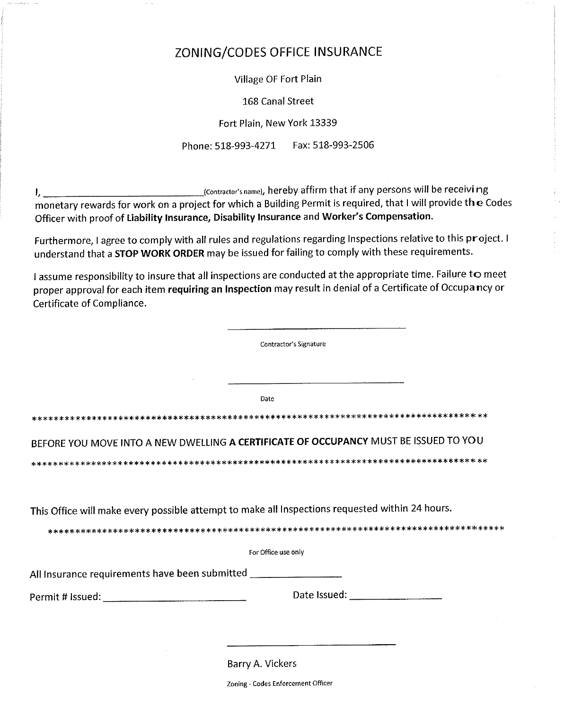## ZONING/CODES OFFICE INSURANCE

Village OF Fort Plain

168 Canal Street

Fort Plain, New York 13339

Phone: 518-993-4271 Fax: 518-993-2506

Contractor's name), hereby affirm that if any persons will be receiving  $\mathbf{I}_{\mathbf{z}}$ monetary rewards for work on a project for which a Building Permit is required, that I will provide the Codes Officer with proof of Liability Insurance, Disability Insurance and Worker's Compensation.

Furthermore, I agree to comply with all rules and regulations regarding Inspections relative to this project. I understand that a STOP WORK ORDER may be issued for failing to comply with these requirements.

I assume responsibility to insure that all inspections are conducted at the appropriate time. Failure to meet proper approval for each item requiring an Inspection may result in denial of a Certificate of Occupancy or Certificate of Compliance.

|                                                                    | Contractor's Signature                                                                          |
|--------------------------------------------------------------------|-------------------------------------------------------------------------------------------------|
|                                                                    |                                                                                                 |
|                                                                    | Date                                                                                            |
|                                                                    |                                                                                                 |
|                                                                    | BEFORE YOU MOVE INTO A NEW DWELLING <b>A CERTIFICATE OF OCCUPANCY</b> MUST BE ISSUED TO YOU     |
|                                                                    |                                                                                                 |
|                                                                    |                                                                                                 |
|                                                                    | This Office will make every possible attempt to make all Inspections requested within 24 hours. |
|                                                                    |                                                                                                 |
|                                                                    | For Office use only                                                                             |
| All Insurance requirements have been submitted ___________________ |                                                                                                 |
|                                                                    | Date Issued: National Property of the United States                                             |
|                                                                    |                                                                                                 |
|                                                                    |                                                                                                 |

Barry A. Vickers

Zoning - Codes Enforcement Officer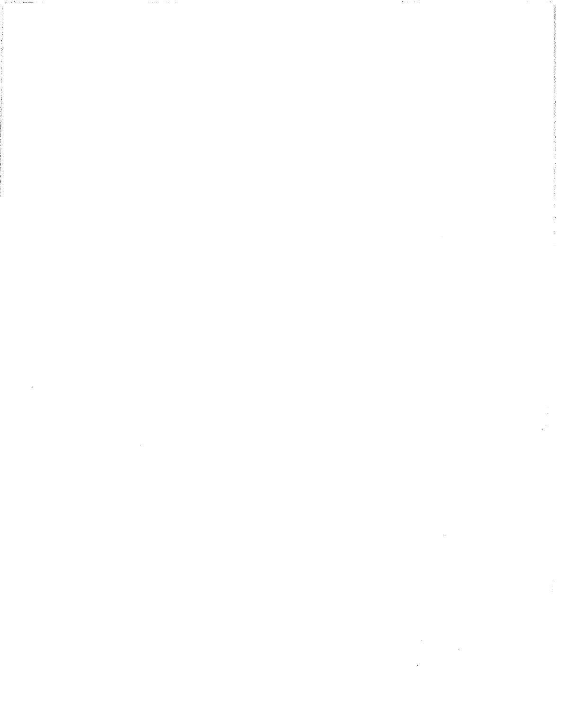

 $\mathcal{A}^{(1)}$  and  $\mathcal{A}^{(2)}$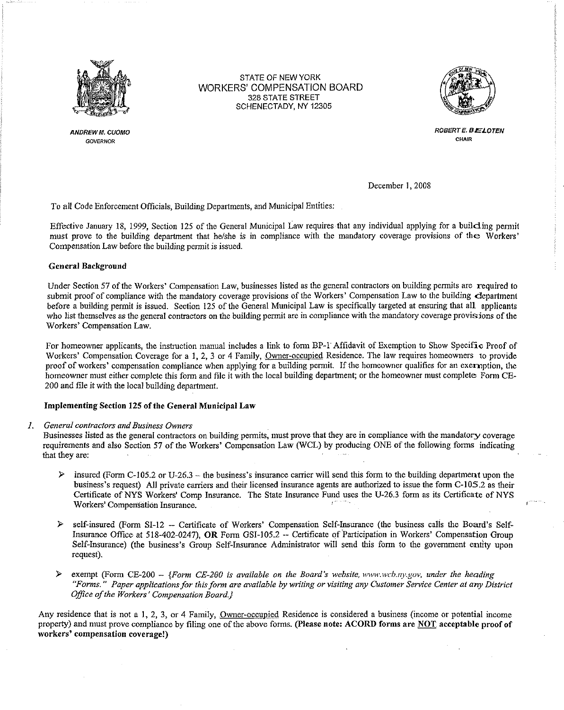

**ANDREW M. CUOMO** COVERNOS

STATE OF NEW YORK **WORKERS' COMPENSATION BOARD 328 STATE STREET** SCHENECTADY, NY 12305



**ROBERT E. B ELOTEN** CHAIR

December 1, 2008

To all Code Enforcement Officials, Building Departments, and Municipal Entities:

Effective January 18, 1999, Section 125 of the General Municipal Law requires that any individual applying for a building permit must prove to the building department that he/she is in compliance with the mandatory coverage provisions of the Workers' Compensation Law before the building permit is issued.

#### **General Background**

Under Section 57 of the Workers' Compensation Law, businesses listed as the general contractors on building permits are required to submit proof of compliance with the mandatory coverage provisions of the Workers' Compensation Law to the building clepartment before a building permit is issued. Section 125 of the General Municipal Law is specifically targeted at ensuring that all applicants who list themselves as the general contractors on the building permit are in compliance with the mandatory coverage provisions of the Workers' Compensation Law.

For homeowner applicants, the instruction manual includes a link to form BP-1 Affidavit of Exemption to Show Specific Proof of Workers' Compensation Coverage for a 1, 2, 3 or 4 Family, Owner-occupied Residence. The law requires homeowners to provide proof of workers' compensation compliance when applying for a building permit. If the homeowner qualifies for an exernption, the homeowner must either complete this form and file it with the local building department; or the homeowner must complete Form CE-200 and file it with the local building department.

#### Implementing Section 125 of the General Municipal Law

#### General contractors and Business Owners  $\mathcal{I}$ .

Businesses listed as the general contractors on building permits, must prove that they are in compliance with the mandatory coverage requirements and also Section 57 of the Workers' Compensation Law (WCL) by producing ONE of the following forms indicating that they are:

- $\triangleright$  insured (Form C-105.2 or U-26.3 the business's insurance carrier will send this form to the building department upon the business's request) All private carriers and their licensed insurance agents are authorized to issue the form C-105.2 as their Certificate of NYS Workers' Comp Insurance. The State Insurance Fund uses the U-26.3 form as its Certificate of NYS Workers' Compensation Insurance.
- $\blacktriangleright$ self-insured (Form SI-12 - Certificate of Workers' Compensation Self-Insurance (the business calls the Board's Self-Insurance Office at 518-402-0247), OR Form GSI-105.2 -- Certificate of Participation in Workers' Compensation Group Self-Insurance) (the business's Group Self-Insurance Administrator will send this form to the government entity upon request).
- $\blacktriangleright$ exempt (Form CE-200 - {Form CE-200 is available on the Board's website, www.wcb.ny.gov, under the heading "Forms." Paper applications for this form are available by writing or visiting any Customer Service Center at any District Office of the Workers' Compensation Board.}

Any residence that is not a 1, 2, 3, or 4 Family, Owner-occupied Residence is considered a business (income or potential income property) and must prove compliance by filing one of the above forms. (Please note: ACORD forms are NOT acceptable proof of workers' compensation coverage!)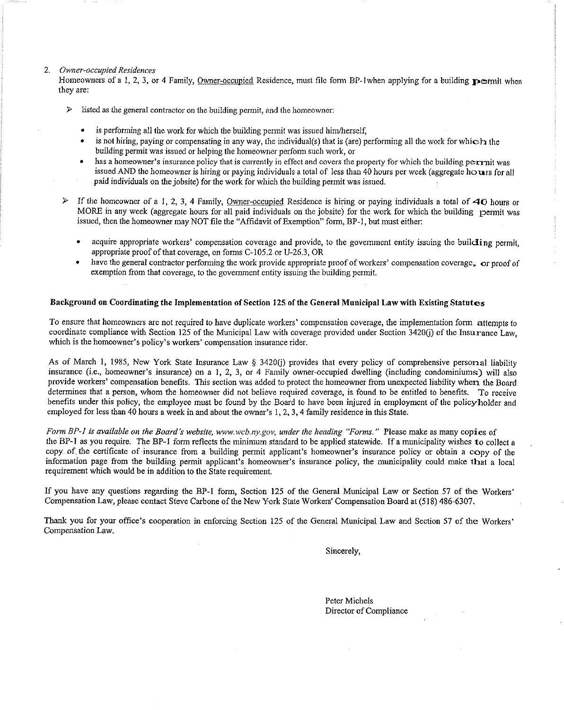#### 2. Owner-occupied Residences

Homeowners of a 1, 2, 3, or 4 Family, Owner-occupied Residence, must file form BP-1when applying for a building potential when they are:

- $\triangleright$  listed as the general contractor on the building permit, and the homeowner:
	- is performing all the work for which the building permit was issued him/herself,
	- is not hiring, paying or compensating in any way, the individual(s) that is (are) performing all the work for which the building permit was issued or helping the homeowner perform such work, or
	- has a homeowner's insurance policy that is currently in effect and covers the property for which the building perrole was issued AND the homeowner is hiring or paying individuals a total of less than 40 hours per week (aggregate hours for all paid individuals on the jobsite) for the work for which the building permit was issued.
- F is the homeowner of a 1, 2, 3, 4 Family, Owner-occupied Residence is hiring or paying individuals a total of 40 hours or MORE in any week (aggregate hours for all paid individuals on the jobsite) for the work for which the building permit was issued, then the homeowner may NOT file the "Affidavit of Exemption" form, BP-1, but must either:
	- acquire appropriate workers' compensation coverage and provide, to the government entity issuing the buildling permit, appropriate proof of that coverage, on forms C-105.2 or U-26.3, OR
	- have the general contractor performing the work provide appropriate proof of workers' compensation coverage. or proof of exemption from that coverage, to the government entity issuing the building permit.

#### Background on Coordinating the Implementation of Section 125 of the General Municipal Law with Existing Statutes

To ensure that homeowners are not required to have duplicate workers' compensation coverage, the implementation form attempts to coordinate compliance with Section 125 of the Municipal Law with coverage provided under Section 3420(i) of the Insurance Law. which is the homeowner's policy's workers' compensation insurance rider.

As of March 1, 1985, New York State Insurance Law § 3420(j) provides that every policy of comprehensive personal liability insurance (i.e., homeowner's insurance) on a 1, 2, 3, or 4 Family owner-occupied dwelling (including condominiums) will also provide workers' compensation benefits. This section was added to protect the homeowner from unexpected liability when the Board determines that a person, whom the homeowner did not believe required coverage, is found to be entitled to benefits. To receive benefits under this policy, the employee must be found by the Board to have been injured in employment of the policy holder and employed for less than 40 hours a week in and about the owner's 1, 2, 3, 4 family residence in this State.

Form BP-1 is available on the Board's website, www.wcb.ny.gov, under the heading "Forms." Please make as many copies of the BP-1 as you require. The BP-1 form reflects the minimum standard to be applied statewide. If a municipality wishes to collect a copy of the certificate of insurance from a building permit applicant's homeowner's insurance policy or obtain a copy of the information page from the building permit applicant's homeowner's insurance policy, the municipality could make that a local requirement which would be in addition to the State requirement.

If you have any questions regarding the BP-1 form, Section 125 of the General Municipal Law or Section 57 of the Workers' Compensation Law, please contact Steve Carbone of the New York State Workers' Compensation Board at (518) 486-6307.

Thank you for your office's cooperation in enforcing Section 125 of the General Municipal Law and Section 57 of the Workers' Compensation Law.

Sincerely.

Peter Michels Director of Compliance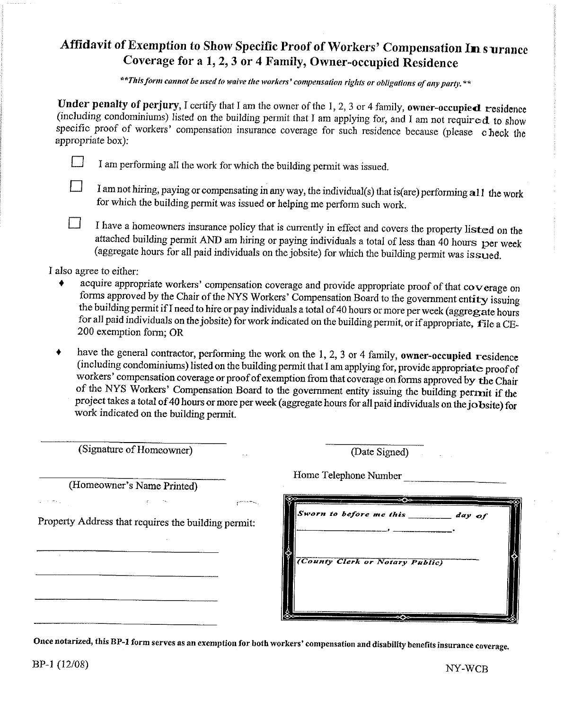# Affidavit of Exemption to Show Specific Proof of Workers' Compensation In surance Coverage for a 1, 2, 3 or 4 Family, Owner-occupied Residence

\*\* This form cannot be used to waive the workers' compensation rights or obligations of any party. \*\*

Under penalty of perjury, I certify that I am the owner of the 1, 2, 3 or 4 family, owner-occupied residence (including condominiums) listed on the building permit that I am applying for, and I am not required to show specific proof of workers' compensation insurance coverage for such residence because (please check the appropriate box):



П

I am performing all the work for which the building permit was issued.

I am not hiring, paying or compensating in any way, the individual(s) that is(are) performing all the work for which the building permit was issued or helping me perform such work.

I have a homeowners insurance policy that is currently in effect and covers the property listed on the attached building permit AND am hiring or paying individuals a total of less than 40 hours per week (aggregate hours for all paid individuals on the jobsite) for which the building permit was issued.

I also agree to either:

- acquire appropriate workers' compensation coverage and provide appropriate proof of that coverage on forms approved by the Chair of the NYS Workers' Compensation Board to the government entity issuing the building permit if I need to hire or pay individuals a total of 40 hours or more per week (aggregate hours for all paid individuals on the jobsite) for work indicated on the building permit, or if appropriate, file a CE-200 exemption form: OR
- have the general contractor, performing the work on the 1, 2, 3 or 4 family, owner-occupied residence  $\blacklozenge$ (including condominiums) listed on the building permit that I am applying for, provide appropriate proof of workers' compensation coverage or proof of exemption from that coverage on forms approved by the Chair of the NYS Workers' Compensation Board to the government entity issuing the building permit if the project takes a total of 40 hours or more per week (aggregate hours for all paid individuals on the jobsite) for work indicated on the building permit.

(Signature of Homeowner)

(Homeowner's Name Printed)

Property Address that requires the building permit:

 $\mathcal{X}^{\pm}$ 

(Date Signed)

Home Telephone Number

| Sworn to before me this $\overline{\phantom{a}}$<br>day of |  |
|------------------------------------------------------------|--|
|                                                            |  |
| (County Clerk or Notary Public)                            |  |
|                                                            |  |
|                                                            |  |
|                                                            |  |

Once notarized, this BP-1 form serves as an exemption for both workers' compensation and disability benefits insurance coverage.

BP-1 (12/08)